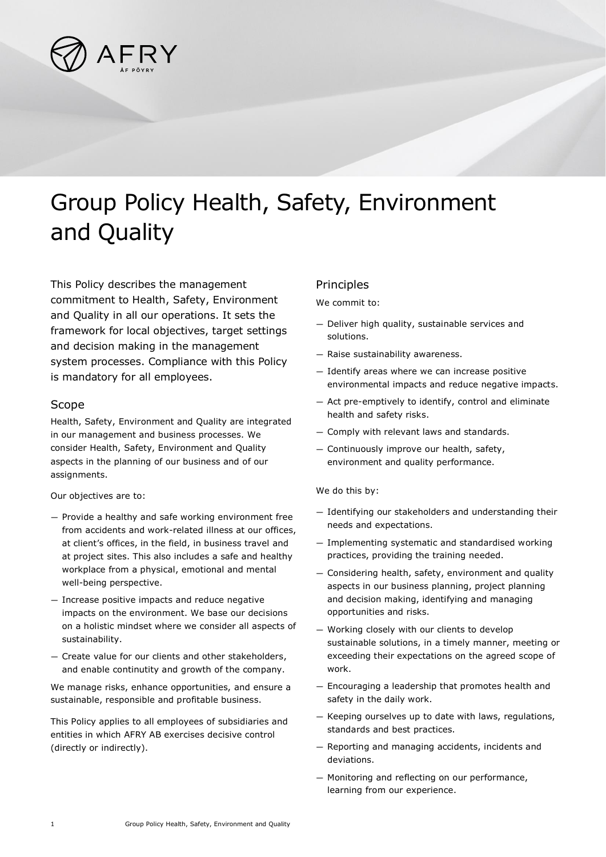

## Group Policy Health, Safety, Environment and Quality

This Policy describes the management commitment to Health, Safety, Environment and Quality in all our operations. It sets the framework for local objectives, target settings and decision making in the management system processes. Compliance with this Policy is mandatory for all employees.

## Scope

Health, Safety, Environment and Quality are integrated in our management and business processes. We consider Health, Safety, Environment and Quality aspects in the planning of our business and of our assignments.

Our objectives are to:

- Provide a healthy and safe working environment free from accidents and work-related illness at our offices, at client's offices, in the field, in business travel and at project sites. This also includes a safe and healthy workplace from a physical, emotional and mental well-being perspective.
- Increase positive impacts and reduce negative impacts on the environment. We base our decisions on a holistic mindset where we consider all aspects of sustainability.
- Create value for our clients and other stakeholders, and enable continutity and growth of the company.

We manage risks, enhance opportunities, and ensure a sustainable, responsible and profitable business.

This Policy applies to all employees of subsidiaries and entities in which AFRY AB exercises decisive control (directly or indirectly).

## **Principles**

We commit to:

- Deliver high quality, sustainable services and solutions.
- Raise sustainability awareness.
- Identify areas where we can increase positive environmental impacts and reduce negative impacts.
- Act pre-emptively to identify, control and eliminate health and safety risks.
- Comply with relevant laws and standards.
- Continuously improve our health, safety, environment and quality performance.

We do this by:

- Identifying our stakeholders and understanding their needs and expectations.
- Implementing systematic and standardised working practices, providing the training needed.
- Considering health, safety, environment and quality aspects in our business planning, project planning and decision making, identifying and managing opportunities and risks.
- Working closely with our clients to develop sustainable solutions, in a timely manner, meeting or exceeding their expectations on the agreed scope of work.
- Encouraging a leadership that promotes health and safety in the daily work.
- Keeping ourselves up to date with laws, regulations, standards and best practices.
- Reporting and managing accidents, incidents and deviations.
- Monitoring and reflecting on our performance, learning from our experience.